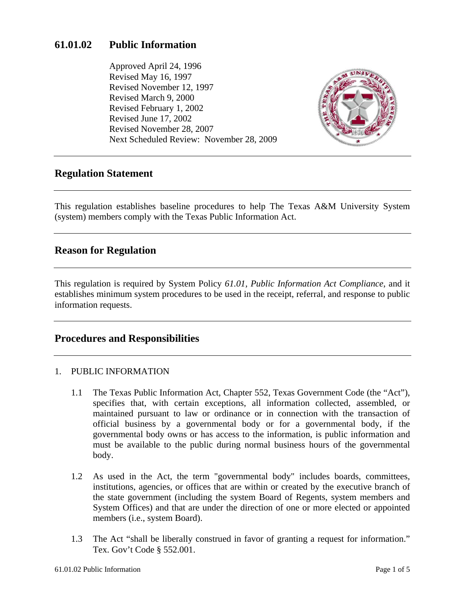# **61.01.02 Public Information**

Approved April 24, 1996 Revised May 16, 1997 Revised November 12, 1997 Revised March 9, 2000 Revised February 1, 2002 Revised June 17, 2002 Revised November 28, 2007 Next Scheduled Review: November 28, 2009



## **Regulation Statement**

This regulation establishes baseline procedures to help The Texas A&M University System (system) members comply with the Texas Public Information Act.

## **Reason for Regulation**

This regulation is required by System Policy *61.01, Public Information Act Compliance*, and it establishes minimum system procedures to be used in the receipt, referral, and response to public information requests.

## **Procedures and Responsibilities**

### 1. PUBLIC INFORMATION

- 1.1 The Texas Public Information Act, Chapter 552, Texas Government Code (the "Act"), specifies that, with certain exceptions, all information collected, assembled, or maintained pursuant to law or ordinance or in connection with the transaction of official business by a governmental body or for a governmental body, if the governmental body owns or has access to the information, is public information and must be available to the public during normal business hours of the governmental body.
- 1.2 As used in the Act, the term "governmental body" includes boards, committees, institutions, agencies, or offices that are within or created by the executive branch of the state government (including the system Board of Regents, system members and System Offices) and that are under the direction of one or more elected or appointed members (i.e., system Board).
- 1.3 The Act "shall be liberally construed in favor of granting a request for information." Tex. Gov't Code § 552.001.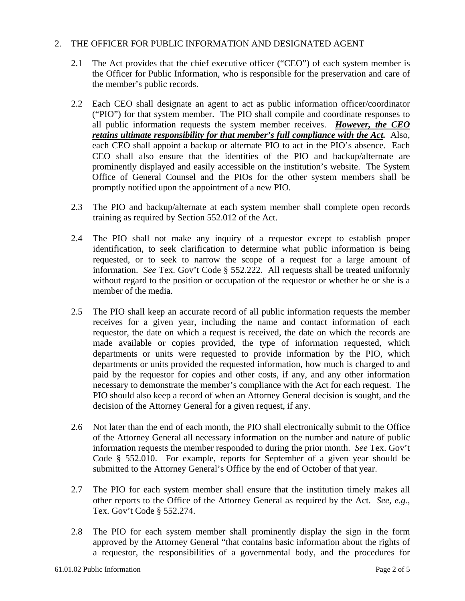## 2. THE OFFICER FOR PUBLIC INFORMATION AND DESIGNATED AGENT

- 2.1 The Act provides that the chief executive officer ("CEO") of each system member is the Officer for Public Information, who is responsible for the preservation and care of the member's public records.
- 2.2 Each CEO shall designate an agent to act as public information officer/coordinator ("PIO") for that system member. The PIO shall compile and coordinate responses to all public information requests the system member receives. *However, the CEO retains ultimate responsibility for that member's full compliance with the Act.* Also, each CEO shall appoint a backup or alternate PIO to act in the PIO's absence. Each CEO shall also ensure that the identities of the PIO and backup/alternate are prominently displayed and easily accessible on the institution's website. The System Office of General Counsel and the PIOs for the other system members shall be promptly notified upon the appointment of a new PIO.
- 2.3 The PIO and backup/alternate at each system member shall complete open records training as required by Section 552.012 of the Act.
- 2.4 The PIO shall not make any inquiry of a requestor except to establish proper identification, to seek clarification to determine what public information is being requested, or to seek to narrow the scope of a request for a large amount of information. *See* Tex. Gov't Code § 552.222. All requests shall be treated uniformly without regard to the position or occupation of the requestor or whether he or she is a member of the media.
- 2.5 The PIO shall keep an accurate record of all public information requests the member receives for a given year, including the name and contact information of each requestor, the date on which a request is received, the date on which the records are made available or copies provided, the type of information requested, which departments or units were requested to provide information by the PIO, which departments or units provided the requested information, how much is charged to and paid by the requestor for copies and other costs, if any, and any other information necessary to demonstrate the member's compliance with the Act for each request. The PIO should also keep a record of when an Attorney General decision is sought, and the decision of the Attorney General for a given request, if any.
- 2.6 Not later than the end of each month, the PIO shall electronically submit to the Office of the Attorney General all necessary information on the number and nature of public information requests the member responded to during the prior month. *See* Tex. Gov't Code § 552.010. For example, reports for September of a given year should be submitted to the Attorney General's Office by the end of October of that year.
- 2.7 The PIO for each system member shall ensure that the institution timely makes all other reports to the Office of the Attorney General as required by the Act. *See, e.g.*, Tex. Gov't Code § 552.274.
- 2.8 The PIO for each system member shall prominently display the sign in the form approved by the Attorney General "that contains basic information about the rights of a requestor, the responsibilities of a governmental body, and the procedures for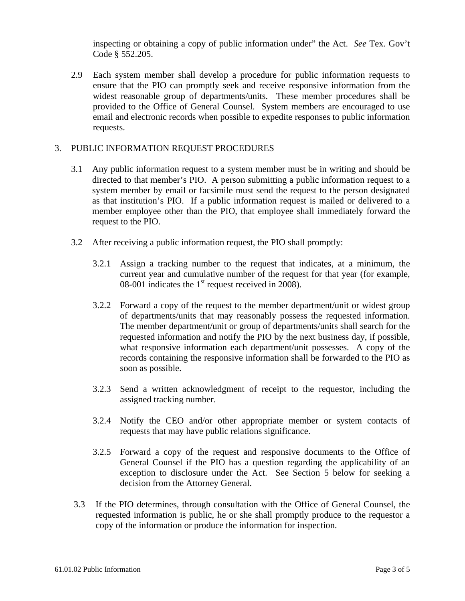inspecting or obtaining a copy of public information under" the Act. *See* Tex. Gov't Code § 552.205.

2.9 Each system member shall develop a procedure for public information requests to ensure that the PIO can promptly seek and receive responsive information from the widest reasonable group of departments/units. These member procedures shall be provided to the Office of General Counsel. System members are encouraged to use email and electronic records when possible to expedite responses to public information requests.

#### 3. PUBLIC INFORMATION REQUEST PROCEDURES

- 3.1 Any public information request to a system member must be in writing and should be directed to that member's PIO. A person submitting a public information request to a system member by email or facsimile must send the request to the person designated as that institution's PIO. If a public information request is mailed or delivered to a member employee other than the PIO, that employee shall immediately forward the request to the PIO.
- 3.2 After receiving a public information request, the PIO shall promptly:
	- 3.2.1 Assign a tracking number to the request that indicates, at a minimum, the current year and cumulative number of the request for that year (for example, 08-001 indicates the  $1<sup>st</sup>$  request received in 2008).
	- 3.2.2 Forward a copy of the request to the member department/unit or widest group of departments/units that may reasonably possess the requested information. The member department/unit or group of departments/units shall search for the requested information and notify the PIO by the next business day, if possible, what responsive information each department/unit possesses. A copy of the records containing the responsive information shall be forwarded to the PIO as soon as possible.
	- 3.2.3 Send a written acknowledgment of receipt to the requestor, including the assigned tracking number.
	- 3.2.4 Notify the CEO and/or other appropriate member or system contacts of requests that may have public relations significance.
	- 3.2.5 Forward a copy of the request and responsive documents to the Office of General Counsel if the PIO has a question regarding the applicability of an exception to disclosure under the Act. See Section 5 below for seeking a decision from the Attorney General.
- 3.3 If the PIO determines, through consultation with the Office of General Counsel, the requested information is public, he or she shall promptly produce to the requestor a copy of the information or produce the information for inspection.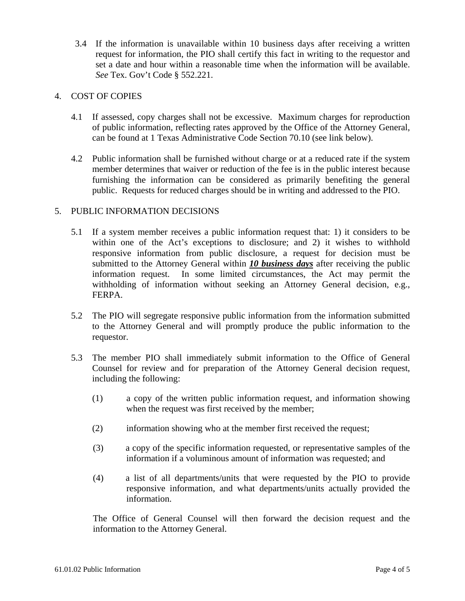3.4 If the information is unavailable within 10 business days after receiving a written request for information, the PIO shall certify this fact in writing to the requestor and set a date and hour within a reasonable time when the information will be available. *See* Tex. Gov't Code § 552.221.

## 4. COST OF COPIES

- 4.1 If assessed, copy charges shall not be excessive. Maximum charges for reproduction of public information, reflecting rates approved by the Office of the Attorney General, can be found at 1 Texas Administrative Code Section 70.10 (see link below).
- 4.2 Public information shall be furnished without charge or at a reduced rate if the system member determines that waiver or reduction of the fee is in the public interest because furnishing the information can be considered as primarily benefiting the general public. Requests for reduced charges should be in writing and addressed to the PIO.

### 5. PUBLIC INFORMATION DECISIONS

- 5.1 If a system member receives a public information request that: 1) it considers to be within one of the Act's exceptions to disclosure; and 2) it wishes to withhold responsive information from public disclosure, a request for decision must be submitted to the Attorney General within *10 business days* after receiving the public information request. In some limited circumstances, the Act may permit the withholding of information without seeking an Attorney General decision, e.g., FERPA.
- 5.2 The PIO will segregate responsive public information from the information submitted to the Attorney General and will promptly produce the public information to the requestor.
- 5.3 The member PIO shall immediately submit information to the Office of General Counsel for review and for preparation of the Attorney General decision request, including the following:
	- (1) a copy of the written public information request, and information showing when the request was first received by the member;
	- (2) information showing who at the member first received the request;
	- (3) a copy of the specific information requested, or representative samples of the information if a voluminous amount of information was requested; and
	- (4) a list of all departments/units that were requested by the PIO to provide responsive information, and what departments/units actually provided the information.

The Office of General Counsel will then forward the decision request and the information to the Attorney General.